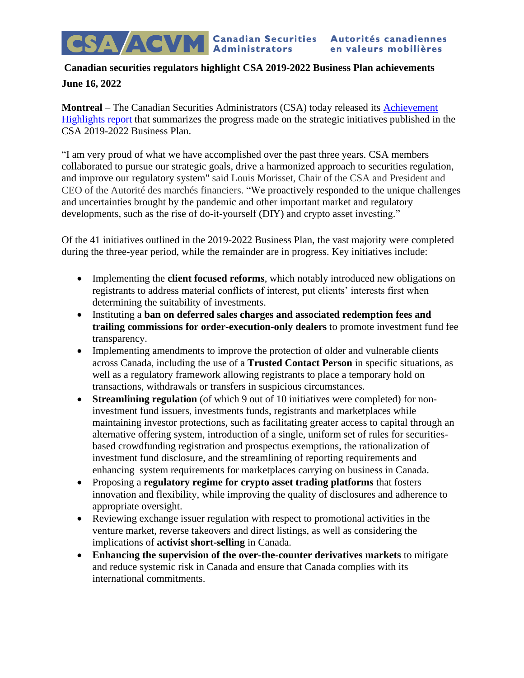## **Canadian securities regulators highlight CSA 2019-2022 Business Plan achievements June 16, 2022**

**Montreal** – The Canadian Securities Administrators (CSA) today released its [Achievement](https://www.securities-administrators.ca/about/csa-business-plans/) [Highlights](https://www.securities-administrators.ca/about/csa-business-plans/) report that summarizes the progress made on the strategic initiatives published in the CSA 2019-2022 Business Plan.

"I am very proud of what we have accomplished over the past three years. CSA members collaborated to pursue our strategic goals, drive a harmonized approach to securities regulation, and improve our regulatory system" said Louis Morisset, Chair of the CSA and President and CEO of the Autorité des marchés financiers. "We proactively responded to the unique challenges and uncertainties brought by the pandemic and other important market and regulatory developments, such as the rise of do-it-yourself (DIY) and crypto asset investing."

Of the 41 initiatives outlined in the 2019-2022 Business Plan, the vast majority were completed during the three-year period, while the remainder are in progress. Key initiatives include:

- Implementing the **client focused reforms**, which notably introduced new obligations on registrants to address material conflicts of interest, put clients' interests first when determining the suitability of investments.
- Instituting a **ban on deferred sales charges and associated redemption fees and trailing commissions for order-execution-only dealers** to promote investment fund fee transparency.
- Implementing amendments to improve the protection of older and vulnerable clients across Canada, including the use of a **Trusted Contact Person** in specific situations, as well as a regulatory framework allowing registrants to place a temporary hold on transactions, withdrawals or transfers in suspicious circumstances.
- **Streamlining regulation** (of which 9 out of 10 initiatives were completed) for noninvestment fund issuers, investments funds, registrants and marketplaces while maintaining investor protections, such as facilitating greater access to capital through an alternative offering system, introduction of a single, uniform set of rules for securitiesbased crowdfunding registration and prospectus exemptions, the rationalization of investment fund disclosure, and the streamlining of reporting requirements and enhancing system requirements for marketplaces carrying on business in Canada.
- Proposing a **regulatory regime for crypto asset trading platforms** that fosters innovation and flexibility, while improving the quality of disclosures and adherence to appropriate oversight.
- Reviewing exchange issuer regulation with respect to promotional activities in the venture market, reverse takeovers and direct listings, as well as considering the implications of **activist short-selling** in Canada.
- **Enhancing the supervision of the over-the-counter derivatives markets** to mitigate and reduce systemic risk in Canada and ensure that Canada complies with its international commitments.